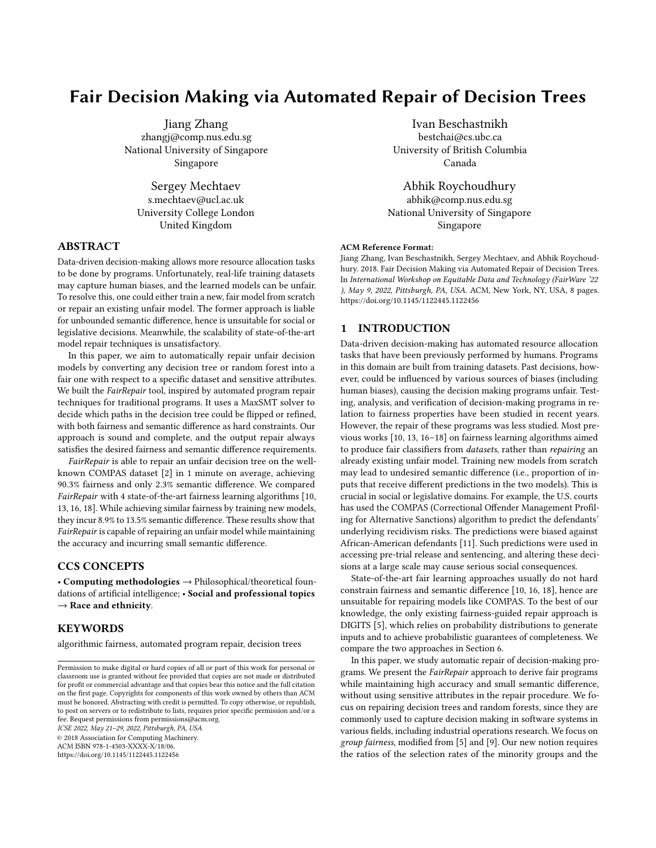# Fair Decision Making via Automated Repair of Decision Trees

Jiang Zhang zhangj@comp.nus.edu.sg National University of Singapore Singapore

Sergey Mechtaev s.mechtaev@ucl.ac.uk University College London United Kingdom

## ABSTRACT

Data-driven decision-making allows more resource allocation tasks to be done by programs. Unfortunately, real-life training datasets may capture human biases, and the learned models can be unfair. To resolve this, one could either train a new, fair model from scratch or repair an existing unfair model. The former approach is liable for unbounded semantic difference, hence is unsuitable for social or legislative decisions. Meanwhile, the scalability of state-of-the-art model repair techniques is unsatisfactory.

In this paper, we aim to automatically repair unfair decision models by converting any decision tree or random forest into a fair one with respect to a specific dataset and sensitive attributes. We built the FairRepair tool, inspired by automated program repair techniques for traditional programs. It uses a MaxSMT solver to decide which paths in the decision tree could be flipped or refined, with both fairness and semantic difference as hard constraints. Our approach is sound and complete, and the output repair always satisfies the desired fairness and semantic difference requirements.

FairRepair is able to repair an unfair decision tree on the wellknown COMPAS dataset [\[2\]](#page-7-0) in 1 minute on average, achieving 90.3% fairness and only 2.3% semantic difference. We compared FairRepair with 4 state-of-the-art fairness learning algorithms [\[10,](#page-7-1) [13,](#page-7-2) [16,](#page-7-3) [18\]](#page-7-4). While achieving similar fairness by training new models, they incur 8.9% to 13.5% semantic difference. These results show that FairRepair is capable of repairing an unfair model while maintaining the accuracy and incurring small semantic difference.

## CCS CONCEPTS

• Computing methodologies  $\rightarrow$  Philosophical/theoretical foundations of artificial intelligence; • Social and professional topics  $\rightarrow$  Race and ethnicity.

## KEYWORDS

algorithmic fairness, automated program repair, decision trees

ICSE 2022, May 21–29, 2022, Pittsburgh, PA, USA

© 2018 Association for Computing Machinery.

ACM ISBN 978-1-4503-XXXX-X/18/06.

<https://doi.org/10.1145/1122445.1122456>

Ivan Beschastnikh bestchai@cs.ubc.ca University of British Columbia Canada

Abhik Roychoudhury abhik@comp.nus.edu.sg National University of Singapore Singapore

#### ACM Reference Format:

Jiang Zhang, Ivan Beschastnikh, Sergey Mechtaev, and Abhik Roychoudhury. 2018. Fair Decision Making via Automated Repair of Decision Trees. In International Workshop on Equitable Data and Technology (FairWare '22 ), May 9, 2022, Pittsburgh, PA, USA. ACM, New York, NY, USA, [8](#page-7-5) pages. <https://doi.org/10.1145/1122445.1122456>

## 1 INTRODUCTION

Data-driven decision-making has automated resource allocation tasks that have been previously performed by humans. Programs in this domain are built from training datasets. Past decisions, however, could be influenced by various sources of biases (including human biases), causing the decision making programs unfair. Testing, analysis, and verification of decision-making programs in relation to fairness properties have been studied in recent years. However, the repair of these programs was less studied. Most previous works [\[10,](#page-7-1) [13,](#page-7-2) [16–](#page-7-3)[18\]](#page-7-4) on fairness learning algorithms aimed to produce fair classifiers from datasets, rather than repairing an already existing unfair model. Training new models from scratch may lead to undesired semantic difference (i.e., proportion of inputs that receive different predictions in the two models). This is crucial in social or legislative domains. For example, the U.S. courts has used the COMPAS (Correctional Offender Management Profiling for Alternative Sanctions) algorithm to predict the defendants' underlying recidivism risks. The predictions were biased against African-American defendants [\[11\]](#page-7-6). Such predictions were used in accessing pre-trial release and sentencing, and altering these decisions at a large scale may cause serious social consequences.

State-of-the-art fair learning approaches usually do not hard constrain fairness and semantic difference [\[10,](#page-7-1) [16,](#page-7-3) [18\]](#page-7-4), hence are unsuitable for repairing models like COMPAS. To the best of our knowledge, the only existing fairness-guided repair approach is DIGITS [\[5\]](#page-7-7), which relies on probability distributions to generate inputs and to achieve probabilistic guarantees of completeness. We compare the two approaches in Section [6.](#page-6-0)

In this paper, we study automatic repair of decision-making programs. We present the FairRepair approach to derive fair programs while maintaining high accuracy and small semantic difference, without using sensitive attributes in the repair procedure. We focus on repairing decision trees and random forests, since they are commonly used to capture decision making in software systems in various fields, including industrial operations research. We focus on group fairness, modified from [\[5\]](#page-7-7) and [\[9\]](#page-7-8). Our new notion requires the ratios of the selection rates of the minority groups and the

Permission to make digital or hard copies of all or part of this work for personal or classroom use is granted without fee provided that copies are not made or distributed for profit or commercial advantage and that copies bear this notice and the full citation on the first page. Copyrights for components of this work owned by others than ACM must be honored. Abstracting with credit is permitted. To copy otherwise, or republish, to post on servers or to redistribute to lists, requires prior specific permission and/or a fee. Request permissions from permissions@acm.org.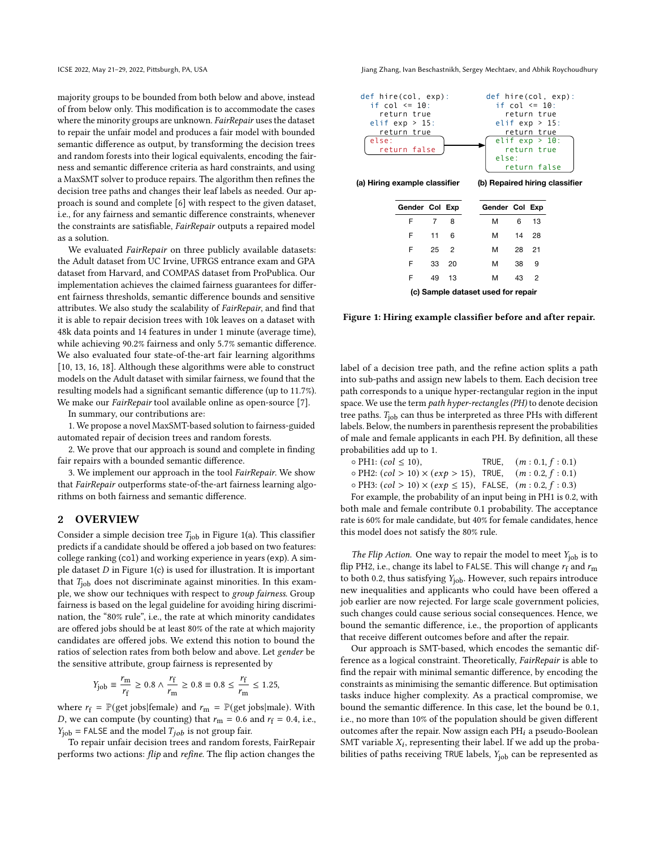majority groups to be bounded from both below and above, instead of from below only. This modification is to accommodate the cases where the minority groups are unknown. FairRepair uses the dataset to repair the unfair model and produces a fair model with bounded semantic difference as output, by transforming the decision trees and random forests into their logical equivalents, encoding the fairness and semantic difference criteria as hard constraints, and using a MaxSMT solver to produce repairs. The algorithm then refines the decision tree paths and changes their leaf labels as needed. Our approach is sound and complete [\[6\]](#page-7-9) with respect to the given dataset, i.e., for any fairness and semantic difference constraints, whenever the constraints are satisfiable, FairRepair outputs a repaired model as a solution.

We evaluated FairRepair on three publicly available datasets: the Adult dataset from UC Irvine, UFRGS entrance exam and GPA dataset from Harvard, and COMPAS dataset from ProPublica. Our implementation achieves the claimed fairness guarantees for different fairness thresholds, semantic difference bounds and sensitive attributes. We also study the scalability of FairRepair, and find that it is able to repair decision trees with 10k leaves on a dataset with 48k data points and 14 features in under 1 minute (average time), while achieving 90.2% fairness and only 5.7% semantic difference. We also evaluated four state-of-the-art fair learning algorithms [\[10,](#page-7-1) [13,](#page-7-2) [16,](#page-7-3) [18\]](#page-7-4). Although these algorithms were able to construct models on the Adult dataset with similar fairness, we found that the resulting models had a significant semantic difference (up to 11.7%). We make our *FairRepair* tool available online as open-source [\[7\]](#page-7-10).

In summary, our contributions are:

1. We propose a novel MaxSMT-based solution to fairness-guided automated repair of decision trees and random forests.

2. We prove that our approach is sound and complete in finding fair repairs with a bounded semantic difference.

3. We implement our approach in the tool FairRepair. We show that FairRepair outperforms state-of-the-art fairness learning algorithms on both fairness and semantic difference.

#### 2 OVERVIEW

Consider a simple decision tree  $T_{job}$  in Figure [1\(](#page-1-0)a). This classifier predicts if a candidate should be offered a job based on two features: college ranking (col) and working experience in years (exp). A simple dataset  $D$  in Figure [1\(](#page-1-0)c) is used for illustration. It is important that  $T_{\text{job}}$  does not discriminate against minorities. In this example, we show our techniques with respect to group fairness. Group fairness is based on the legal guideline for avoiding hiring discrimination, the "80% rule", i.e., the rate at which minority candidates are offered jobs should be at least 80% of the rate at which majority candidates are offered jobs. We extend this notion to bound the ratios of selection rates from both below and above. Let gender be the sensitive attribute, group fairness is represented by

$$
Y_{\text{job}} \equiv \frac{r_{\text{m}}}{r_{\text{f}}} \ge 0.8 \land \frac{r_{\text{f}}}{r_{\text{m}}} \ge 0.8 \equiv 0.8 \le \frac{r_{\text{f}}}{r_{\text{m}}} \le 1.25,
$$

where  $r_f = \mathbb{P}(\text{get jobs}|\text{female})$  and  $r_m = \mathbb{P}(\text{get jobs}|\text{male})$ . With D, we can compute (by counting) that  $r_m = 0.6$  and  $r_f = 0.4$ , i.e.,  $Y_{job}$  = FALSE and the model  $T_{job}$  is not group fair.

To repair unfair decision trees and random forests, FairRepair performs two actions: flip and refine. The flip action changes the

ICSE 2022, May 21–29, 2022, Pittsburgh, PA, USA Jiang Zhang, Ivan Beschastnikh, Sergey Mechtaev, and Abhik Roychoudhury

<span id="page-1-0"></span>

| Gender Col Exp                     |    |               |  | Gender Col Exp |    |    |  |
|------------------------------------|----|---------------|--|----------------|----|----|--|
| F                                  | 7  | 8             |  | м              | 6  | 13 |  |
| F                                  | 11 | 6             |  | м              | 14 | 28 |  |
| F                                  | 25 | $\mathcal{P}$ |  | м              | 28 | 21 |  |
| F                                  | 33 | 20            |  | м              | 38 | 9  |  |
| F                                  | 49 | 13            |  | м              | 43 | 2  |  |
| (a) Comple detecat used fer repelr |    |               |  |                |    |    |  |

**(c) Sample dataset used for repair**

Figure 1: Hiring example classifier before and after repair.

label of a decision tree path, and the refine action splits a path into sub-paths and assign new labels to them. Each decision tree path corresponds to a unique hyper-rectangular region in the input space. We use the term path hyper-rectangles (PH) to denote decision tree paths.  $T_{\text{iob}}$  can thus be interpreted as three PHs with different labels. Below, the numbers in parenthesis represent the probabilities of male and female applicants in each PH. By definition, all these probabilities add up to 1.

| $\circ$ PH1: $(col \leq 10)$ ,                                            | TRUE, $(m: 0.1, f: 0.1)$ |
|---------------------------------------------------------------------------|--------------------------|
| $\circ$ PH2: $(col > 10) \times (exp > 15)$ , TRUE, $(m: 0.2, f: 0.1)$    |                          |
| $\circ$ PH3: $(col > 10) \times (exp \le 15)$ , FALSE, $(m: 0.2, f: 0.3)$ |                          |

For example, the probability of an input being in PH1 is 0.2, with both male and female contribute 0.1 probability. The acceptance rate is 60% for male candidate, but 40% for female candidates, hence this model does not satisfy the 80% rule.

The Flip Action. One way to repair the model to meet  $Y_{\text{job}}$  is to flip PH2, i.e., change its label to FALSE. This will change  $r_f$  and  $r_m$ to both 0.2, thus satisfying  $Y_{\text{iob}}$ . However, such repairs introduce new inequalities and applicants who could have been offered a job earlier are now rejected. For large scale government policies, such changes could cause serious social consequences. Hence, we bound the semantic difference, i.e., the proportion of applicants that receive different outcomes before and after the repair.

Our approach is SMT-based, which encodes the semantic difference as a logical constraint. Theoretically, FairRepair is able to find the repair with minimal semantic difference, by encoding the constraints as minimising the semantic difference. But optimisation tasks induce higher complexity. As a practical compromise, we bound the semantic difference. In this case, let the bound be 0.1, i.e., no more than 10% of the population should be given different outcomes after the repair. Now assign each  $PH_i$  a pseudo-Boolean SMT variable  $X_i$ , representing their label. If we add up the probabilities of paths receiving TRUE labels,  $Y_{job}$  can be represented as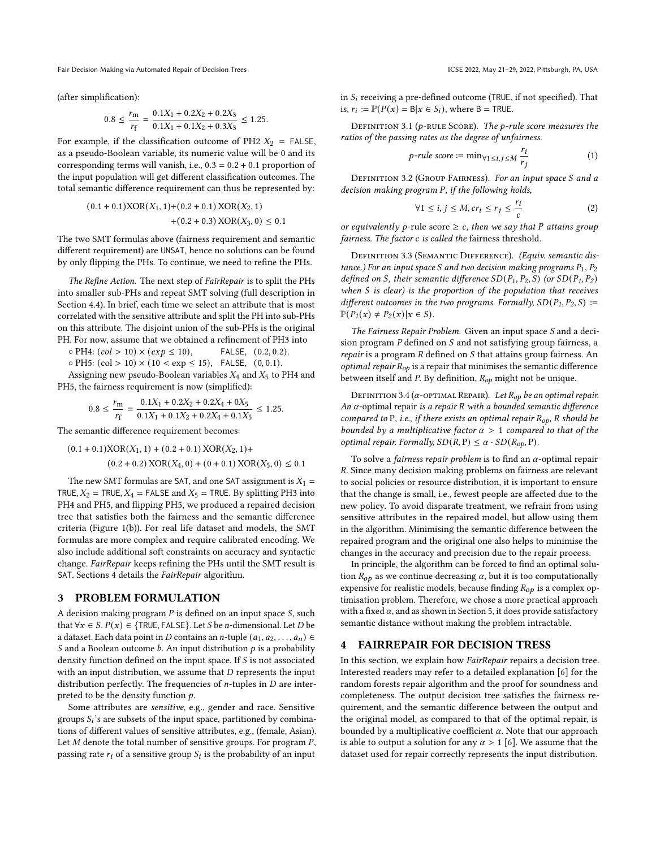Fair Decision Making via Automated Repair of Decision Trees ICSE 2022, May 21-29, 2022, Pittsburgh, PA, USA

(after simplification):

$$
0.8 \le \frac{r_{\rm m}}{r_{\rm f}} = \frac{0.1X_1 + 0.2X_2 + 0.2X_3}{0.1X_1 + 0.1X_2 + 0.3X_3} \le 1.25.
$$

For example, if the classification outcome of PH2  $X_2$  = FALSE, as a pseudo-Boolean variable, its numeric value will be 0 and its corresponding terms will vanish, i.e.,  $0.3 = 0.2 + 0.1$  proportion of the input population will get different classification outcomes. The total semantic difference requirement can thus be represented by:

$$
(0.1 + 0.1)XOR(X1, 1) + (0.2 + 0.1) XOR(X2, 1)+(0.2 + 0.3) XOR(X3, 0) \le 0.1
$$

The two SMT formulas above (fairness requirement and semantic different requirement) are UNSAT, hence no solutions can be found by only flipping the PHs. To continue, we need to refine the PHs.

The Refine Action. The next step of FairRepair is to split the PHs into smaller sub-PHs and repeat SMT solving (full description in Section [4.4\)](#page-4-0). In brief, each time we select an attribute that is most correlated with the sensitive attribute and split the PH into sub-PHs on this attribute. The disjoint union of the sub-PHs is the original PH. For now, assume that we obtained a refinement of PH3 into

 $\circ$  PH4:  $(col > 10) \times (exp \le 10)$ , FALSE, (0.2, 0.2).

 $\circ$  PH5: (col > 10)  $\times$  (10 < exp  $\leq$  15), FALSE, (0, 0.1).

Assigning new pseudo-Boolean variables  $X_4$  and  $X_5$  to PH4 and PH5, the fairness requirement is now (simplified):

$$
0.8 \le \frac{r_{\rm m}}{r_{\rm f}} = \frac{0.1X_1 + 0.2X_2 + 0.2X_4 + 0X_5}{0.1X_1 + 0.1X_2 + 0.2X_4 + 0.1X_5} \le 1.25.
$$

The semantic difference requirement becomes:

$$
(0.1 + 0.1)XOR(X_1, 1) + (0.2 + 0.1) XOR(X_2, 1) +
$$
  

$$
(0.2 + 0.2) XOR(X_4, 0) + (0 + 0.1) XOR(X_5, 0) \le 0.1
$$

The new SMT formulas are SAT, and one SAT assignment is  $X_1 =$ TRUE,  $X_2$  = TRUE,  $X_4$  = FALSE and  $X_5$  = TRUE. By splitting PH3 into PH4 and PH5, and flipping PH5, we produced a repaired decision tree that satisfies both the fairness and the semantic difference criteria (Figure [1\(](#page-1-0)b)). For real life dataset and models, the SMT formulas are more complex and require calibrated encoding. We also include additional soft constraints on accuracy and syntactic change. FairRepair keeps refining the PHs until the SMT result is SAT. Sections [4](#page-2-0) details the FairRepair algorithm.

#### <span id="page-2-1"></span>3 PROBLEM FORMULATION

A decision making program  $P$  is defined on an input space  $S$ , such that  $\forall x \in S. P(x) \in \{TRUE, FALSE\}$ . Let *S* be *n*-dimensional. Let *D* be a dataset. Each data point in D contains an n-tuple  $(a_1, a_2, \ldots, a_n) \in$ S and a Boolean outcome  $b$ . An input distribution  $p$  is a probability density function defined on the input space. If  $S$  is not associated with an input distribution, we assume that  $D$  represents the input distribution perfectly. The frequencies of  $n$ -tuples in  $D$  are interpreted to be the density function  $p$ .

Some attributes are sensitive, e.g., gender and race. Sensitive groups  $S_i$ 's are subsets of the input space, partitioned by combinations of different values of sensitive attributes, e.g., (female, Asian). Let  $M$  denote the total number of sensitive groups. For program  $P$ , passing rate  $r_i$  of a sensitive group  $S_i$  is the probability of an input

in  $S_i$  receiving a pre-defined outcome (TRUE, if not specified). That is,  $r_i := \mathbb{P}(P(x) = B | x \in S_i)$ , where B = TRUE.

DEFINITION 3.1 ( $p$ -RULE SCORE). The  $p$ -rule score measures the ratios of the passing rates as the degree of unfairness.

$$
p\text{-}rule score := \min_{\forall 1 \le i,j \le M} \frac{r_i}{r_j} \tag{1}
$$

DEFINITION 3.2 (GROUP FAIRNESS). For an input space S and a decision making program P, if the following holds,

$$
\forall 1 \le i, j \le M, cr_i \le r_j \le \frac{r_i}{c}
$$
 (2)

or equivalently p-rule score  $\geq c$ , then we say that P attains group fairness. The factor c is called the fairness threshold.

DEFINITION 3.3 (SEMANTIC DIFFERENCE). (Equiv. semantic distance.) For an input space S and two decision making programs  $P_1$ ,  $P_2$ defined on S, their semantic difference  $SD(P_1, P_2, S)$  (or  $SD(P_1, P_2)$ ) when  $S$  is clear) is the proportion of the population that receives different outcomes in the two programs. Formally,  $SD(P_1, P_2, S) :=$  $\mathbb{P}(P_1(x) \neq P_2(x) | x \in S).$ 

The Fairness Repair Problem. Given an input space S and a decision program  $P$  defined on  $S$  and not satisfying group fairness, a  $repair$  is a program  $R$  defined on  $S$  that attains group fairness. An *optimal repair*  $R_{op}$  is a repair that minimises the semantic difference between itself and P. By definition,  $R_{op}$  might not be unique.

DEFINITION 3.4 ( $\alpha$ -OPTIMAL REPAIR). Let  $R_{op}$  be an optimal repair. An  $\alpha$ -optimal repair is a repair R with a bounded semantic difference compared to P, i.e., if there exists an optimal repair  $R_{op}$ , R should be bounded by a multiplicative factor  $\alpha > 1$  compared to that of the optimal repair. Formally,  $SD(R, P) \leq \alpha \cdot SD(R_{op}, P)$ .

To solve a *fairness repair problem* is to find an  $\alpha$ -optimal repair . Since many decision making problems on fairness are relevant to social policies or resource distribution, it is important to ensure that the change is small, i.e., fewest people are affected due to the new policy. To avoid disparate treatment, we refrain from using sensitive attributes in the repaired model, but allow using them in the algorithm. Minimising the semantic difference between the repaired program and the original one also helps to minimise the changes in the accuracy and precision due to the repair process.

In principle, the algorithm can be forced to find an optimal solution  $R_{op}$  as we continue decreasing  $\alpha$ , but it is too computationally expensive for realistic models, because finding  $R_{op}$  is a complex optimisation problem. Therefore, we chose a more practical approach with a fixed  $\alpha,$  and as shown in Section [5,](#page-4-1) it does provide satisfactory semantic distance without making the problem intractable.

## <span id="page-2-0"></span>4 FAIRREPAIR FOR DECISION TRESS

In this section, we explain how FairRepair repairs a decision tree. Interested readers may refer to a detailed explanation [\[6\]](#page-7-9) for the random forests repair algorithm and the proof for soundness and completeness. The output decision tree satisfies the fairness requirement, and the semantic difference between the output and the original model, as compared to that of the optimal repair, is bounded by a multiplicative coefficient  $\alpha$ . Note that our approach is able to output a solution for any  $\alpha > 1$  [\[6\]](#page-7-9). We assume that the dataset used for repair correctly represents the input distribution.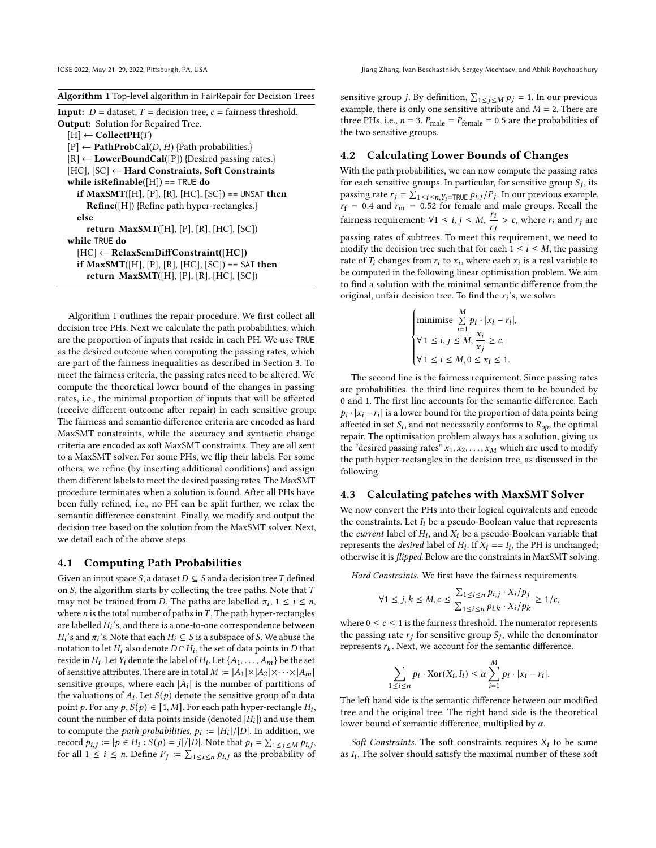<span id="page-3-0"></span>

| Algorithm 1 Top-level algorithm in FairRepair for Decision Trees |  |  |  |  |  |  |
|------------------------------------------------------------------|--|--|--|--|--|--|
|                                                                  |  |  |  |  |  |  |

| <b>Input:</b> $D =$ dataset, $T =$ decision tree, $c =$ fairness threshold. |
|-----------------------------------------------------------------------------|
| <b>Output:</b> Solution for Repaired Tree.                                  |
| $[H] \leftarrow$ CollectPH(T)                                               |
| $[P] \leftarrow \textbf{PathProbCal}(D, H)$ {Path probabilities.}           |
| $[R] \leftarrow LowerBoundCal([P])$ {Desired passing rates.}                |
| $[HC], [SC] \leftarrow Hard Constraints, Soft Constraints$                  |
| while is Refinable $([H]) ==$ TRUE do                                       |
| <b>if MaxSMT</b> ([H], [P], [R], [HC], [SC]) == UNSAT <b>then</b>           |
| $\mathbf{Refine}([H])$ {Refine path hyper-rectangles.}                      |
| else                                                                        |
| return $MaxSMT([H], [P], [R], [HC], [SC])$                                  |
| while TRUF do                                                               |
| $[HC] \leftarrow RelaxSemDiffConstraint([HC])$                              |
| <b>if MaxSMT</b> ([H], [P], [R], [HC], [SC]) == SAT <b>then</b>             |
| <b>return MaxSMT</b> ([H], [P], [R], [HC], [SC])                            |

Algorithm [1](#page-3-0) outlines the repair procedure. We first collect all decision tree PHs. Next we calculate the path probabilities, which are the proportion of inputs that reside in each PH. We use TRUE as the desired outcome when computing the passing rates, which are part of the fairness inequalities as described in Section [3.](#page-2-1) To meet the fairness criteria, the passing rates need to be altered. We compute the theoretical lower bound of the changes in passing rates, i.e., the minimal proportion of inputs that will be affected (receive different outcome after repair) in each sensitive group. The fairness and semantic difference criteria are encoded as hard MaxSMT constraints, while the accuracy and syntactic change criteria are encoded as soft MaxSMT constraints. They are all sent to a MaxSMT solver. For some PHs, we flip their labels. For some others, we refine (by inserting additional conditions) and assign them different labels to meet the desired passing rates. The MaxSMT procedure terminates when a solution is found. After all PHs have been fully refined, i.e., no PH can be split further, we relax the semantic difference constraint. Finally, we modify and output the decision tree based on the solution from the MaxSMT solver. Next, we detail each of the above steps.

#### 4.1 Computing Path Probabilities

Given an input space S, a dataset  $D \subseteq S$  and a decision tree T defined on  $S$ , the algorithm starts by collecting the tree paths. Note that  $T$ may not be trained from *D*. The paths are labelled  $\pi_i$ ,  $1 \leq i \leq n$ , where  $n$  is the total number of paths in  $T$ . The path hyper-rectangles are labelled  $H_i$ 's, and there is a one-to-one correspondence between  $H_i$ 's and  $\pi_i$ 's. Note that each  $H_i \subseteq S$  is a subspace of S. We abuse the notation to let  $H_i$  also denote  $D \cap H_i$ , the set of data points in  $D$  that reside in  $H_i$ . Let  $Y_i$  denote the label of  $H_i$ . Let  $\{A_1, \ldots, A_m\}$  be the set of sensitive attributes. There are in total  $M := |A_1| \times |A_2| \times \cdots \times |A_m|$ sensitive groups, where each  $|A_i|$  is the number of partitions of the valuations of  $A_i$ . Let  $S(p)$  denote the sensitive group of a data point p. For any  $p, S(p) \in [1, M]$ . For each path hyper-rectangle  $H_i$ , count the number of data points inside (denoted  $|H_i|$ ) and use them to compute the *path probabilities*,  $p_i := |H_i|/|D|$ . In addition, we record  $p_{i,j} := |p \in H_i : S(p) = j|/|\overline{D}|$ . Note that  $p_i = \sum_{1 \leq j \leq M} p_{i,j}$ , for all  $1 \leq i \leq n$ . Define  $P_j := \sum_{1 \leq i \leq n} p_{i,j}$  as the probability of

sensitive group *j*. By definition,  $\sum_{1 \le j \le M} p_j = 1$ . In our previous example, there is only one sensitive attribute and  $M = 2$ . There are three PHs, i.e.,  $n = 3$ .  $P_{\text{male}} = P_{\text{female}} = 0.5$  are the probabilities of the two sensitive groups.

#### <span id="page-3-2"></span>4.2 Calculating Lower Bounds of Changes

With the path probabilities, we can now compute the passing rates for each sensitive groups. In particular, for sensitive group  $S_i$ , its passing rate  $r_j = \sum_{1 \le i \le n, Y_i = \text{TRUE}} p_{i,j} / P_j$ . In our previous example,  $r_f$  = 0.4 and  $r_m$  = 0.52 for female and male groups. Recall the  $r_f = 0.4$  and  $r_m = 0.52$  for remarciant  $r_i$ <br>fairness requirement:  $\forall 1 \le i, j \le M$ ,  $\frac{r_i}{r_i}$  $\frac{r_i}{r_i} > c$ , where  $r_i$  and  $r_j$  are passing rates of subtrees. To meet this requirement, we need to modify the decision tree such that for each  $1 \le i \le M$ , the passing rate of  $T_i$  changes from  $r_i$  to  $x_i$ , where each  $x_i$  is a real variable to be computed in the following linear optimisation problem. We aim to find a solution with the minimal semantic difference from the original, unfair decision tree. To find the  $x_i$ 's, we solve:  $\lambda$  $\overline{11}$ 

$$
\begin{cases}\n\text{minimise } \sum_{i=1}^{N} p_i \cdot |x_i - r_i|, \\
\forall 1 \le i, j \le M, \frac{x_i}{x_j} \ge c, \\
\forall 1 \le i \le M, 0 \le x_i \le 1.\n\end{cases}
$$

 The second line is the fairness requirement. Since passing rates are probabilities, the third line requires them to be bounded by 0 and 1. The first line accounts for the semantic difference. Each  $p_i \cdot |x_i - r_i|$  is a lower bound for the proportion of data points being affected in set  $S_i$ , and not necessarily conforms to  $R_{op}$ , the optimal repair. The optimisation problem always has a solution, giving us the "desired passing rates"  $x_1, x_2, \ldots, x_M$  which are used to modify the path hyper-rectangles in the decision tree, as discussed in the following.

#### <span id="page-3-1"></span>4.3 Calculating patches with MaxSMT Solver

We now convert the PHs into their logical equivalents and encode the constraints. Let  $I_i$  be a pseudo-Boolean value that represents the *current* label of  $H_i$ , and  $X_i$  be a pseudo-Boolean variable that represents the *desired* label of  $H_i$ . If  $\overline{X}_i == I_i$ , the PH is unchanged; otherwise it is flipped. Below are the constraints in MaxSMT solving.

Hard Constraints. We first have the fairness requirements.

$$
\forall 1 \le j, k \le M, c \le \frac{\sum_{1 \le i \le n} p_{i,j} \cdot X_i/p_j}{\sum_{1 \le i \le n} p_{i,k} \cdot X_i/p_k} \ge 1/c,
$$

where  $0 \leq c \leq 1$  is the fairness threshold. The numerator represents the passing rate  $r_i$  for sensitive group  $S_i$ , while the denominator represents  $r_k$ . Next, we account for the semantic difference.

$$
\sum_{1 \le i \le n} p_i \cdot \text{Xor}(X_i, I_i) \le \alpha \sum_{i=1}^M p_i \cdot |x_i - r_i|.
$$

The left hand side is the semantic difference between our modified tree and the original tree. The right hand side is the theoretical lower bound of semantic difference, multiplied by  $\alpha$ .

Soft Constraints. The soft constraints requires  $X_i$  to be same as  $I_i$ . The solver should satisfy the maximal number of these soft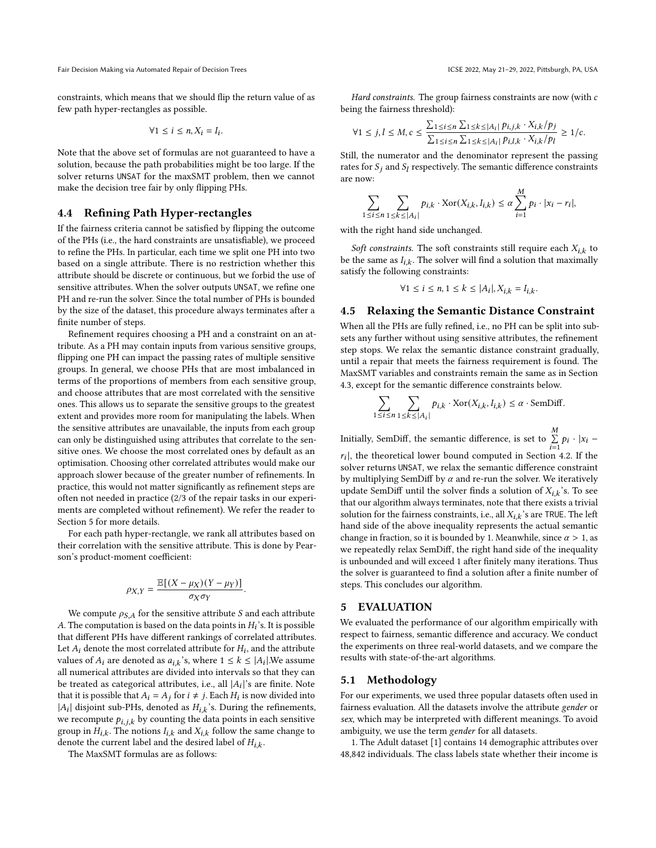Fair Decision Making via Automated Repair of Decision Trees ICSE 2022, May 21-29, 2022, Pittsburgh, PA, USA

constraints, which means that we should flip the return value of as few path hyper-rectangles as possible.

$$
\forall 1 \leq i \leq n, X_i = I_i.
$$

Note that the above set of formulas are not guaranteed to have a solution, because the path probabilities might be too large. If the solver returns UNSAT for the maxSMT problem, then we cannot make the decision tree fair by only flipping PHs.

## <span id="page-4-0"></span>4.4 Refining Path Hyper-rectangles

If the fairness criteria cannot be satisfied by flipping the outcome of the PHs (i.e., the hard constraints are unsatisfiable), we proceed to refine the PHs. In particular, each time we split one PH into two based on a single attribute. There is no restriction whether this attribute should be discrete or continuous, but we forbid the use of sensitive attributes. When the solver outputs UNSAT, we refine one PH and re-run the solver. Since the total number of PHs is bounded by the size of the dataset, this procedure always terminates after a finite number of steps.

Refinement requires choosing a PH and a constraint on an attribute. As a PH may contain inputs from various sensitive groups, flipping one PH can impact the passing rates of multiple sensitive groups. In general, we choose PHs that are most imbalanced in terms of the proportions of members from each sensitive group, and choose attributes that are most correlated with the sensitive ones. This allows us to separate the sensitive groups to the greatest extent and provides more room for manipulating the labels. When the sensitive attributes are unavailable, the inputs from each group can only be distinguished using attributes that correlate to the sensitive ones. We choose the most correlated ones by default as an optimisation. Choosing other correlated attributes would make our approach slower because of the greater number of refinements. In practice, this would not matter significantly as refinement steps are often not needed in practice (2/3 of the repair tasks in our experiments are completed without refinement). We refer the reader to Section [5](#page-4-1) for more details.

For each path hyper-rectangle, we rank all attributes based on their correlation with the sensitive attribute. This is done by Pearson's product-moment coefficient:

$$
\rho_{X,Y} = \frac{\mathbb{E}[(X-\mu_X)(Y-\mu_Y)]}{\sigma_X \sigma_Y}
$$

.

We compute  $\rho_{S,A}$  for the sensitive attribute S and each attribute A. The computation is based on the data points in  $H_i$ 's. It is possible that different PHs have different rankings of correlated attributes. Let  $A_i$  denote the most correlated attribute for  $H_i$ , and the attribute values of  $A_i$  are denoted as  $a_{i,k}$ 's, where  $1 \leq k \leq |A_i|$ . We assume all numerical attributes are divided into intervals so that they can be treated as categorical attributes, i.e., all  $|A_i|$ 's are finite. Note that it is possible that  $A_i = A_j$  for  $i \neq j$ . Each  $H_i$  is now divided into | $A_i$ | disjoint sub-PHs, denoted as  $H_{i,k}$ 's. During the refinements, we recompute  $p_{i,j,k}$  by counting the data points in each sensitive group in  $H_{i,k}$ . The notions  $I_{i,k}$  and  $X_{i,k}$  follow the same change to denote the current label and the desired label of  $H_{i,k}$ .

The MaxSMT formulas are as follows:

Hard constraints. The group fairness constraints are now (with  $c$ being the fairness threshold):

$$
\forall 1 \leq j,l \leq M,c \leq \frac{\sum_{1 \leq i \leq n} \sum_{1 \leq k \leq |A_i|} p_{i,j,k} \cdot X_{i,k}/p_j}{\sum_{1 \leq i \leq n} \sum_{1 \leq k \leq |A_i|} p_{i,l,k} \cdot X_{i,k}/p_l} \geq 1/c.
$$

Still, the numerator and the denominator represent the passing rates for  $S_i$  and  $S_l$  respectively. The semantic difference constraints are now:

$$
\sum_{1 \leq i \leq n} \sum_{1 \leq k \leq |A_i|} p_{i,k} \cdot \text{Xor}(X_{i,k}, I_{i,k}) \leq \alpha \sum_{i=1}^{M} p_i \cdot |x_i - r_i|,
$$

with the right hand side unchanged.

Soft constraints. The soft constraints still require each  $X_{i,k}$  to be the same as  $I_{i,k}$ . The solver will find a solution that maximally satisfy the following constraints:

$$
\forall 1 \le i \le n, 1 \le k \le |A_i|, X_{i,k} = I_{i,k}.
$$

## 4.5 Relaxing the Semantic Distance Constraint

When all the PHs are fully refined, i.e., no PH can be split into subsets any further without using sensitive attributes, the refinement step stops. We relax the semantic distance constraint gradually, until a repair that meets the fairness requirement is found. The MaxSMT variables and constraints remain the same as in Section [4.3,](#page-3-1) except for the semantic difference constraints below.

$$
\sum_{1 \le i \le n} \sum_{1 \le k \le |A_i|} p_{i,k} \cdot \text{Xor}(X_{i,k}, I_{i,k}) \le \alpha \cdot \text{SemDiff}.
$$

Initially, SemDiff, the semantic difference, is set to  $\sum^M$  $\sum_{i=1}^{11} p_i \cdot |x_i|$ 

 $|r_i|$ , the theoretical lower bound computed in Section [4.2.](#page-3-2) If the solver returns UNSAT, we relax the semantic difference constraint by multiplying SemDiff by  $\alpha$  and re-run the solver. We iteratively update SemDiff until the solver finds a solution of  $X_{i,k}$ 's. To see that our algorithm always terminates, note that there exists a trivial solution for the fairness constraints, i.e., all  $X_{i,k}$ 's are TRUE. The left hand side of the above inequality represents the actual semantic change in fraction, so it is bounded by 1. Meanwhile, since  $\alpha > 1$ , as we repeatedly relax SemDiff, the right hand side of the inequality is unbounded and will exceed 1 after finitely many iterations. Thus the solver is guaranteed to find a solution after a finite number of steps. This concludes our algorithm.

#### <span id="page-4-1"></span>5 EVALUATION

We evaluated the performance of our algorithm empirically with respect to fairness, semantic difference and accuracy. We conduct the experiments on three real-world datasets, and we compare the results with state-of-the-art algorithms.

#### 5.1 Methodology

For our experiments, we used three popular datasets often used in fairness evaluation. All the datasets involve the attribute gender or sex, which may be interpreted with different meanings. To avoid ambiguity, we use the term gender for all datasets.

1. The Adult dataset [\[1\]](#page-7-11) contains 14 demographic attributes over 48,842 individuals. The class labels state whether their income is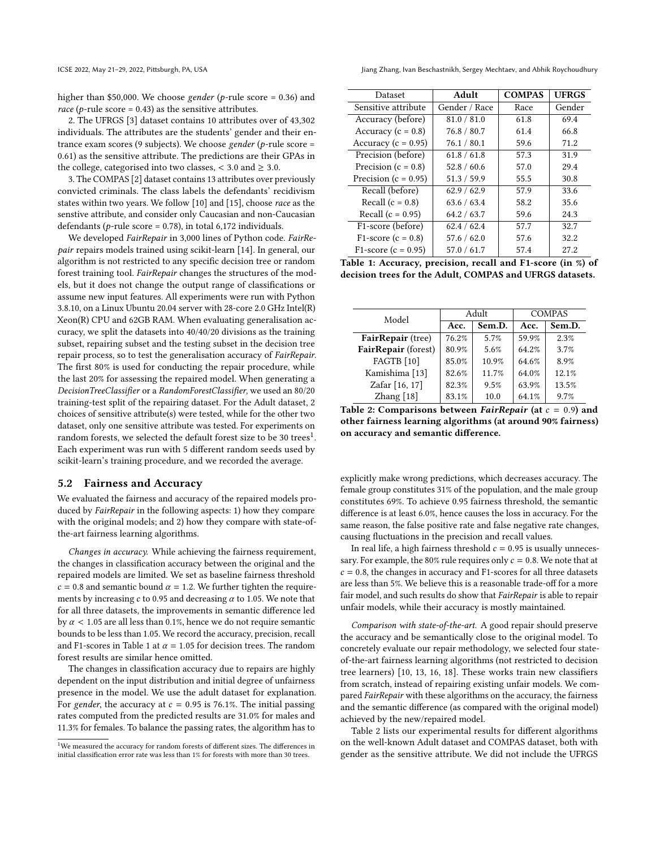ICSE 2022, May 21–29, 2022, Pittsburgh, PA, USA Jiang Zhang, Ivan Beschastnikh, Sergey Mechtaev, and Abhik Roychoudhury

higher than \$50,000. We choose gender (p-rule score = 0.36) and race ( $p$ -rule score = 0.43) as the sensitive attributes.

2. The UFRGS [\[3\]](#page-7-12) dataset contains 10 attributes over of 43,302 individuals. The attributes are the students' gender and their entrance exam scores (9 subjects). We choose gender (p-rule score = 0.61) as the sensitive attribute. The predictions are their GPAs in the college, categorised into two classes,  $<$  3.0 and  $\geq$  3.0.

3. The COMPAS [\[2\]](#page-7-0) dataset contains 13 attributes over previously convicted criminals. The class labels the defendants' recidivism states within two years. We follow [\[10\]](#page-7-1) and [\[15\]](#page-7-13), choose race as the senstive attribute, and consider only Caucasian and non-Caucasian defendants ( $p$ -rule score = 0.78), in total 6,172 individuals.

We developed FairRepair in 3,000 lines of Python code. FairRepair repairs models trained using scikit-learn [\[14\]](#page-7-14). In general, our algorithm is not restricted to any specific decision tree or random forest training tool. FairRepair changes the structures of the models, but it does not change the output range of classifications or assume new input features. All experiments were run with Python 3.8.10, on a Linux Ubuntu 20.04 server with 28-core 2.0 GHz Intel(R) Xeon(R) CPU and 62GB RAM. When evaluating generalisation accuracy, we split the datasets into 40/40/20 divisions as the training subset, repairing subset and the testing subset in the decision tree repair process, so to test the generalisation accuracy of FairRepair. The first 80% is used for conducting the repair procedure, while the last 20% for assessing the repaired model. When generating a DecisionTreeClassifier or a RandomForestClassifier, we used an 80/20 training-test split of the repairing dataset. For the Adult dataset, 2 choices of sensitive attribute(s) were tested, while for the other two dataset, only one sensitive attribute was tested. For experiments on random forests, we selected the default forest size to be 30 trees<sup>[1](#page-5-0)</sup>. Each experiment was run with 5 different random seeds used by scikit-learn's training procedure, and we recorded the average.

### 5.2 Fairness and Accuracy

We evaluated the fairness and accuracy of the repaired models produced by FairRepair in the following aspects: 1) how they compare with the original models; and 2) how they compare with state-ofthe-art fairness learning algorithms.

Changes in accuracy. While achieving the fairness requirement, the changes in classification accuracy between the original and the repaired models are limited. We set as baseline fairness threshold  $c = 0.8$  and semantic bound  $\alpha = 1.2$ . We further tighten the requirements by increasing  $c$  to 0.95 and decreasing  $\alpha$  to 1.05. We note that for all three datasets, the improvements in semantic difference led by  $\alpha$  < 1.05 are all less than 0.1%, hence we do not require semantic bounds to be less than 1.05. We record the accuracy, precision, recall and F1-scores in Table [1](#page-5-1) at  $\alpha$  = 1.05 for decision trees. The random forest results are similar hence omitted.

The changes in classification accuracy due to repairs are highly dependent on the input distribution and initial degree of unfairness presence in the model. We use the adult dataset for explanation. For gender, the accuracy at  $c = 0.95$  is 76.1%. The initial passing rates computed from the predicted results are 31.0% for males and 11.3% for females. To balance the passing rates, the algorithm has to

<span id="page-5-1"></span>

| Dataset                  | Adult         | <b>COMPAS</b> | <b>UFRGS</b> |  |
|--------------------------|---------------|---------------|--------------|--|
| Sensitive attribute      | Gender / Race | Race          | Gender       |  |
| Accuracy (before)        | 81.0 / 81.0   | 61.8          | 69.4         |  |
| Accuracy ( $c = 0.8$ )   | 76.8 / 80.7   | 61.4          | 66.8         |  |
| Accuracy ( $c = 0.95$ )  | 76.1 / 80.1   | 59.6          | 71.2         |  |
| Precision (before)       | 61.8 / 61.8   | 57.3          | 31.9         |  |
| Precision ( $c = 0.8$ )  | 52.8 / 60.6   | 57.0          | 29.4         |  |
| Precision ( $c = 0.95$ ) | 51.3 / 59.9   | 55.5          | 30.8         |  |
| Recall (before)          | 62.9 / 62.9   | 57.9          | 33.6         |  |
| Recall $(c = 0.8)$       | 63.6 / 63.4   | 58.2          | 35.6         |  |
| Recall $(c = 0.95)$      | 64.2 / 63.7   | 59.6          | 24.3         |  |
| F1-score (before)        | 62.4 / 62.4   | 57.7          | 32.7         |  |
| F1-score ( $c = 0.8$ )   | 57.6 / 62.0   | 57.6          | 32.2         |  |
| $F1-score (c = 0.95)$    | 57.0 / 61.7   | 57.4          | 27.2         |  |

Table 1: Accuracy, precision, recall and F1-score (in %) of decision trees for the Adult, COMPAS and UFRGS datasets.

<span id="page-5-2"></span>

| Model               |       | Adult  | <b>COMPAS</b> |        |  |  |  |
|---------------------|-------|--------|---------------|--------|--|--|--|
|                     | Acc.  | Sem.D. | Acc.          | Sem.D. |  |  |  |
| FairRepair (tree)   | 76.2% | 5.7%   | 59.9%         | 2.3%   |  |  |  |
| FairRepair (forest) | 80.9% | 5.6%   | 64.2%         | 3.7%   |  |  |  |
| <b>FAGTB</b> [10]   | 85.0% | 10.9%  | 64.6%         | 8.9%   |  |  |  |
| Kamishima [13]      | 82.6% | 11.7%  | 64.0%         | 12.1%  |  |  |  |
| Zafar [16, 17]      | 82.3% | 9.5%   | 63.9%         | 13.5%  |  |  |  |
| Zhang [18]          | 83.1% | 10.0   | 64.1%         | 9.7%   |  |  |  |

Table 2: Comparisons between *FairRepair* (at  $c = 0.9$ ) and other fairness learning algorithms (at around 90% fairness) on accuracy and semantic difference.

explicitly make wrong predictions, which decreases accuracy. The female group constitutes 31% of the population, and the male group constitutes 69%. To achieve 0.95 fairness threshold, the semantic difference is at least 6.0%, hence causes the loss in accuracy. For the same reason, the false positive rate and false negative rate changes, causing fluctuations in the precision and recall values.

In real life, a high fairness threshold  $c = 0.95$  is usually unnecessary. For example, the 80% rule requires only  $c = 0.8$ . We note that at  $c = 0.8$ , the changes in accuracy and F1-scores for all three datasets are less than 5%. We believe this is a reasonable trade-off for a more fair model, and such results do show that FairRepair is able to repair unfair models, while their accuracy is mostly maintained.

Comparison with state-of-the-art. A good repair should preserve the accuracy and be semantically close to the original model. To concretely evaluate our repair methodology, we selected four stateof-the-art fairness learning algorithms (not restricted to decision tree learners) [\[10,](#page-7-1) [13,](#page-7-2) [16,](#page-7-3) [18\]](#page-7-4). These works train new classifiers from scratch, instead of repairing existing unfair models. We compared FairRepair with these algorithms on the accuracy, the fairness and the semantic difference (as compared with the original model) achieved by the new/repaired model.

Table [2](#page-5-2) lists our experimental results for different algorithms on the well-known Adult dataset and COMPAS dataset, both with gender as the sensitive attribute. We did not include the UFRGS

<span id="page-5-0"></span><sup>&</sup>lt;sup>1</sup>We measured the accuracy for random forests of different sizes. The differences in initial classification error rate was less than 1% for forests with more than 30 trees.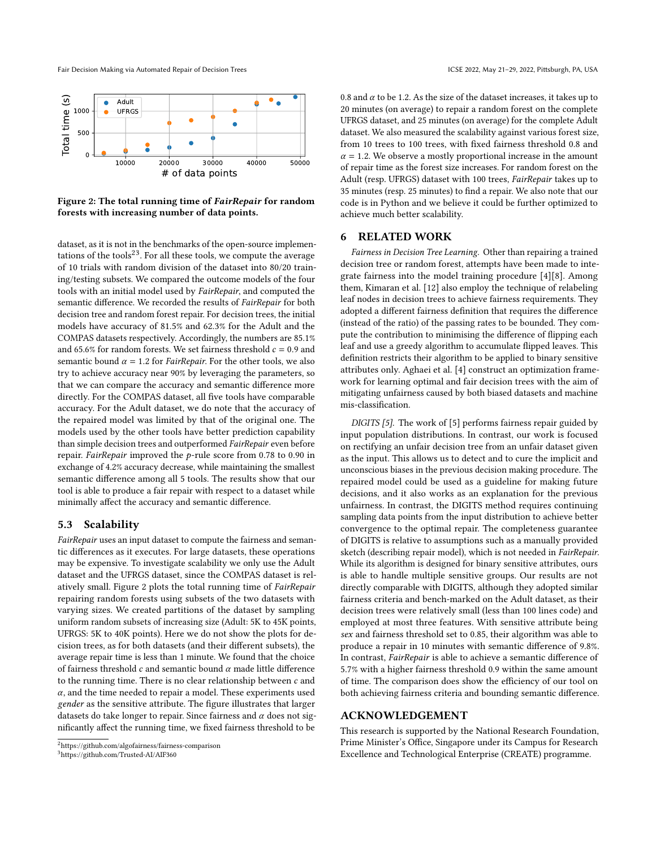Fair Decision Making via Automated Repair of Decision Trees ICSE 2022, May 21-29, 2022, Pittsburgh, PA, USA

<span id="page-6-3"></span>

Figure 2: The total running time of FairRepair for random forests with increasing number of data points.

dataset, as it is not in the benchmarks of the open-source implemen-tations of the tools<sup>[2](#page-6-1)[3](#page-6-2)</sup>. For all these tools, we compute the average of 10 trials with random division of the dataset into 80/20 training/testing subsets. We compared the outcome models of the four tools with an initial model used by FairRepair, and computed the semantic difference. We recorded the results of FairRepair for both decision tree and random forest repair. For decision trees, the initial models have accuracy of 81.5% and 62.3% for the Adult and the COMPAS datasets respectively. Accordingly, the numbers are 85.1% and 65.6% for random forests. We set fairness threshold  $c = 0.9$  and semantic bound  $\alpha = 1.2$  for *FairRepair*. For the other tools, we also try to achieve accuracy near 90% by leveraging the parameters, so that we can compare the accuracy and semantic difference more directly. For the COMPAS dataset, all five tools have comparable accuracy. For the Adult dataset, we do note that the accuracy of the repaired model was limited by that of the original one. The models used by the other tools have better prediction capability than simple decision trees and outperformed FairRepair even before repair. FairRepair improved the  $p$ -rule score from 0.78 to 0.90 in exchange of 4.2% accuracy decrease, while maintaining the smallest semantic difference among all 5 tools. The results show that our tool is able to produce a fair repair with respect to a dataset while minimally affect the accuracy and semantic difference.

#### 5.3 Scalability

FairRepair uses an input dataset to compute the fairness and semantic differences as it executes. For large datasets, these operations may be expensive. To investigate scalability we only use the Adult dataset and the UFRGS dataset, since the COMPAS dataset is relatively small. Figure [2](#page-6-3) plots the total running time of FairRepair repairing random forests using subsets of the two datasets with varying sizes. We created partitions of the dataset by sampling uniform random subsets of increasing size (Adult: 5K to 45K points, UFRGS: 5K to 40K points). Here we do not show the plots for decision trees, as for both datasets (and their different subsets), the average repair time is less than 1 minute. We found that the choice of fairness threshold  $c$  and semantic bound  $\alpha$  made little difference to the running time. There is no clear relationship between  $c$  and  $\alpha$ , and the time needed to repair a model. These experiments used gender as the sensitive attribute. The figure illustrates that larger datasets do take longer to repair. Since fairness and  $\alpha$  does not significantly affect the running time, we fixed fairness threshold to be

<span id="page-6-2"></span><sup>3</sup>https://github.com/Trusted-AI/AIF360

0.8 and  $\alpha$  to be 1.2. As the size of the dataset increases, it takes up to 20 minutes (on average) to repair a random forest on the complete UFRGS dataset, and 25 minutes (on average) for the complete Adult dataset. We also measured the scalability against various forest size, from 10 trees to 100 trees, with fixed fairness threshold 0.8 and  $\alpha = 1.2$ . We observe a mostly proportional increase in the amount of repair time as the forest size increases. For random forest on the Adult (resp. UFRGS) dataset with 100 trees, FairRepair takes up to 35 minutes (resp. 25 minutes) to find a repair. We also note that our code is in Python and we believe it could be further optimized to achieve much better scalability.

#### <span id="page-6-0"></span>6 RELATED WORK

Fairness in Decision Tree Learning. Other than repairing a trained decision tree or random forest, attempts have been made to integrate fairness into the model training procedure [\[4\]](#page-7-16)[\[8\]](#page-7-17). Among them, Kimaran et al. [\[12\]](#page-7-18) also employ the technique of relabeling leaf nodes in decision trees to achieve fairness requirements. They adopted a different fairness definition that requires the difference (instead of the ratio) of the passing rates to be bounded. They compute the contribution to minimising the difference of flipping each leaf and use a greedy algorithm to accumulate flipped leaves. This definition restricts their algorithm to be applied to binary sensitive attributes only. Aghaei et al. [\[4\]](#page-7-16) construct an optimization framework for learning optimal and fair decision trees with the aim of mitigating unfairness caused by both biased datasets and machine mis-classification.

DIGITS [\[5\]](#page-7-7). The work of [\[5\]](#page-7-7) performs fairness repair guided by input population distributions. In contrast, our work is focused on rectifying an unfair decision tree from an unfair dataset given as the input. This allows us to detect and to cure the implicit and unconscious biases in the previous decision making procedure. The repaired model could be used as a guideline for making future decisions, and it also works as an explanation for the previous unfairness. In contrast, the DIGITS method requires continuing sampling data points from the input distribution to achieve better convergence to the optimal repair. The completeness guarantee of DIGITS is relative to assumptions such as a manually provided sketch (describing repair model), which is not needed in FairRepair. While its algorithm is designed for binary sensitive attributes, ours is able to handle multiple sensitive groups. Our results are not directly comparable with DIGITS, although they adopted similar fairness criteria and bench-marked on the Adult dataset, as their decision trees were relatively small (less than 100 lines code) and employed at most three features. With sensitive attribute being sex and fairness threshold set to 0.85, their algorithm was able to produce a repair in 10 minutes with semantic difference of 9.8%. In contrast, FairRepair is able to achieve a semantic difference of 5.7% with a higher fairness threshold 0.9 within the same amount of time. The comparison does show the efficiency of our tool on both achieving fairness criteria and bounding semantic difference.

## ACKNOWLEDGEMENT

This research is supported by the National Research Foundation, Prime Minister's Office, Singapore under its Campus for Research Excellence and Technological Enterprise (CREATE) programme.

<span id="page-6-1"></span><sup>2</sup>https://github.com/algofairness/fairness-comparison